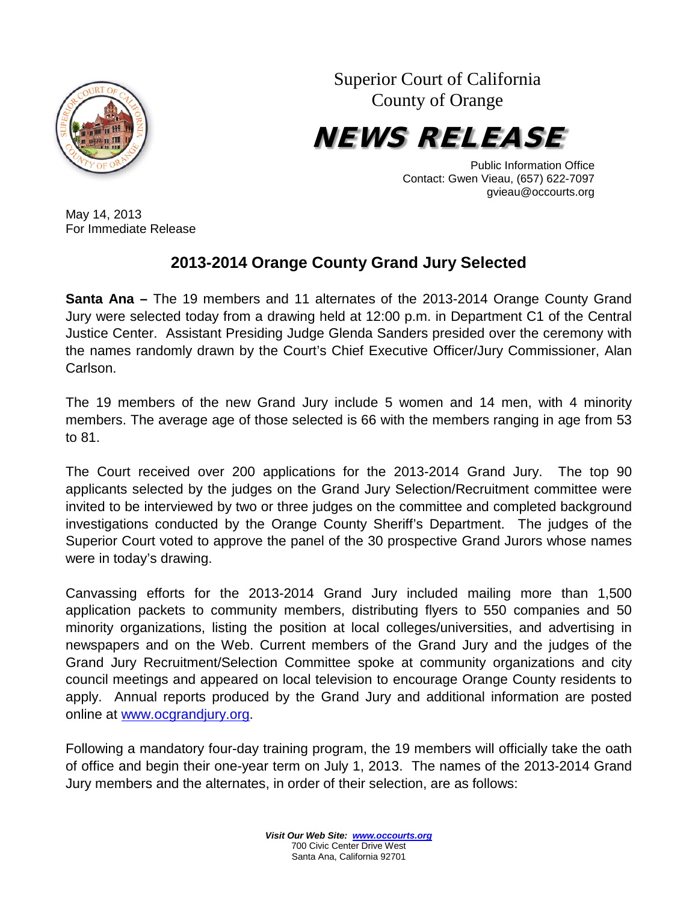

Superior Court of California County of Orange



Public Information Office Contact: Gwen Vieau, (657) 622-7097 gvieau@occourts.org

May 14, 2013 For Immediate Release

## **2013-2014 Orange County Grand Jury Selected**

**Santa Ana –** The 19 members and 11 alternates of the 2013-2014 Orange County Grand Jury were selected today from a drawing held at 12:00 p.m. in Department C1 of the Central Justice Center. Assistant Presiding Judge Glenda Sanders presided over the ceremony with the names randomly drawn by the Court's Chief Executive Officer/Jury Commissioner, Alan Carlson.

The 19 members of the new Grand Jury include 5 women and 14 men, with 4 minority members. The average age of those selected is 66 with the members ranging in age from 53 to 81.

The Court received over 200 applications for the 2013-2014 Grand Jury. The top 90 applicants selected by the judges on the Grand Jury Selection/Recruitment committee were invited to be interviewed by two or three judges on the committee and completed background investigations conducted by the Orange County Sheriff's Department. The judges of the Superior Court voted to approve the panel of the 30 prospective Grand Jurors whose names were in today's drawing.

Canvassing efforts for the 2013-2014 Grand Jury included mailing more than 1,500 application packets to community members, distributing flyers to 550 companies and 50 minority organizations, listing the position at local colleges/universities, and advertising in newspapers and on the Web. Current members of the Grand Jury and the judges of the Grand Jury Recruitment/Selection Committee spoke at community organizations and city council meetings and appeared on local television to encourage Orange County residents to apply. Annual reports produced by the Grand Jury and additional information are posted online at [www.ocgrandjury.org.](http://www.ocgrandjury.org/)

Following a mandatory four-day training program, the 19 members will officially take the oath of office and begin their one-year term on July 1, 2013. The names of the 2013-2014 Grand Jury members and the alternates, in order of their selection, are as follows: